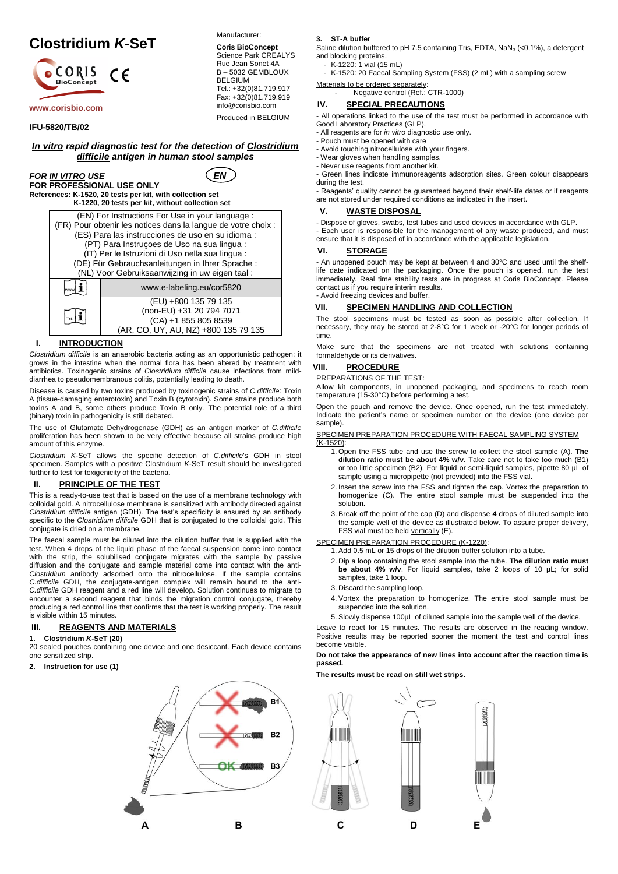# **Clostridium** *K***-SeT**



#### **IFU-5820/TB/02**

*In vitro rapid diagnostic test for the detection of Clostridium difficile antigen in human stool samples*

# *FOR IN VITRO USE*  $\left( EN \right)$ **FOR PROFESSIONAL USE ONLY**

Manufacturer: **Coris BioConcept** Science Park CREALYS Rue Jean Sonet 4A B – 5032 GEMBLOUX

BELGIUM

Tel.: +32(0)81.719.917 Fax: +32(0)81.719.919 info@corisbio.com Produced in BELGIUM

**References: K-1520, 20 tests per kit, with collection set K-1220, 20 tests per kit, without collection set**



#### **I. INTRODUCTION**

*Clostridium difficile* is an anaerobic bacteria acting as an opportunistic pathogen: it grows in the intestine when the normal flora has been altered by treatment with antibiotics. Toxinogenic strains of *Clostridium difficile* cause infections from milddiarrhea to pseudomembranous colitis, potentially leading to death.

Disease is caused by two toxins produced by toxinogenic strains of *C.difficile*: Toxin A (tissue-damaging enterotoxin) and Toxin B (cytotoxin). Some strains produce both toxins A and B, some others produce Toxin B only. The potential role of a third (binary) toxin in pathogenicity is still debated.

The use of Glutamate Dehydrogenase (GDH) as an antigen marker of *C.difficile* proliferation has been shown to be very effective because all strains produce high amount of this enzyme.

*Clostridium K*-SeT allows the specific detection of *C.difficile*'s GDH in stool specimen. Samples with a positive Clostridium *K*-SeT result should be investigated further to test for toxigenicity of the bacteria.

# **II. PRINCIPLE OF THE TEST**

This is a ready-to-use test that is based on the use of a membrane technology with colloidal gold. A nitrocellulose membrane is sensitized with antibody directed against *Clostridium difficile* antigen (GDH). The test's specificity is ensured by an antibody specific to the *Clostridium difficile* GDH that is conjugated to the colloidal gold. This conjugate is dried on a membrane.

The faecal sample must be diluted into the dilution buffer that is supplied with the test. When 4 drops of the liquid phase of the faecal suspension come into contact with the strip, the solubilised conjugate migrates with the sample by passive diffusion and the conjugate and sample material come into contact with the anti-*Clostridium* antibody adsorbed onto the nitrocellulose. If the sample contains *C.difficile* GDH, the conjugate-antigen complex will remain bound to the anti-*C.difficile* GDH reagent and a red line will develop. Solution continues to migrate to encounter a second reagent that binds the migration control conjugate, thereby producing a red control line that confirms that the test is working properly. The result is visible within 15 minutes.

# **III. REAGENTS AND MATERIALS**

**1. Clostridium** *K***-SeT (20)**

20 sealed pouches containing one device and one desiccant. Each device contains one sensitized strip.

**2. Instruction for use (1)**

# B1  $B<sub>2</sub>$ OK ANNO B<sub>3</sub> B A

**3. ST-A buffer**

Saline dilution buffered to pH 7.5 containing Tris, EDTA,  $\text{NaN}_3$  (<0,1%), a detergent and blocking proteins.

- K-1220: 1 vial (15 mL)

K-1520: 20 Faecal Sampling System (FSS) (2 mL) with a sampling screw

#### Materials to be ordered separately: Negative control (Ref.: CTR-1000)

# **IV. SPECIAL PRECAUTIONS**

- All operations linked to the use of the test must be performed in accordance with Good Laboratory Practices (GLP).

- All reagents are for *in vitro* diagnostic use only.

- Pouch must be opened with care

- Avoid touching nitrocellulose with your fingers. - Wear gloves when handling samples.

- Never use reagents from another kit.

- Green lines indicate immunoreagents adsorption sites. Green colour disappears during the test.

- Reagents' quality cannot be guaranteed beyond their shelf-life dates or if reagents are not stored under required conditions as indicated in the insert.

# **V. WASTE DISPOSAL**

- Dispose of gloves, swabs, test tubes and used devices in accordance with GLP.

- Each user is responsible for the management of any waste produced, and must ensure that it is disposed of in accordance with the applicable legislation.

## **VI. STORAGE**

- An unopened pouch may be kept at between 4 and 30°C and used until the shelflife date indicated on the packaging. Once the pouch is opened, run the test immediately. Real time stability tests are in progress at Coris BioConcept. Please contact us if you require interim results. - Avoid freezing devices and buffer.

# **VII. SPECIMEN HANDLING AND COLLECTION**

The stool specimens must be tested as soon as possible after collection. If necessary, they may be stored at 2-8°C for 1 week or -20°C for longer periods of time.

Make sure that the specimens are not treated with solutions containing formaldehyde or its derivatives.

# **VIII. PROCEDURE**

#### PREPARATIONS OF THE TEST:

Allow kit components, in unopened packaging, and specimens to reach room temperature (15-30°C) before performing a test.

Open the pouch and remove the device. Once opened, run the test immediately. Indicate the patient's name or specimen number on the device (one device per sample).

#### SPECIMEN PREPARATION PROCEDURE WITH FAECAL SAMPLING SYSTEM (K-1520):

- 1. Open the FSS tube and use the screw to collect the stool sample (A). **The dilution ratio must be about 4% w/v**. Take care not to take too much (B1) or too little specimen (B2). For liquid or semi-liquid samples, pipette 80 µL of sample using a micropipette (not provided) into the FSS vial.
- 2. Insert the screw into the FSS and tighten the cap. Vortex the preparation to homogenize (C). The entire stool sample must be suspended into the solution.
- 3. Break off the point of the cap (D) and dispense **4** drops of diluted sample into the sample well of the device as illustrated below. To assure proper delivery, FSS vial must be held vertically (E).

# SPECIMEN PREPARATION PROCEDURE (K-1220):

1. Add 0.5 mL or 15 drops of the dilution buffer solution into a tube.

- 2. Dip a loop containing the stool sample into the tube. **The dilution ratio must be about 4% w/v**. For liquid samples, take 2 loops of 10 µL; for solid samples, take 1 loop.
- 3. Discard the sampling loop.
- 4. Vortex the preparation to homogenize. The entire stool sample must be suspended into the solution.
- 5. Slowly dispense 100µL of diluted sample into the sample well of the device.

Leave to react for 15 minutes. The results are observed in the reading window. Positive results may be reported sooner the moment the test and control lines become visible.

#### **Do not take the appearance of new lines into account after the reaction time is passed.**

**The results must be read on still wet strips.**